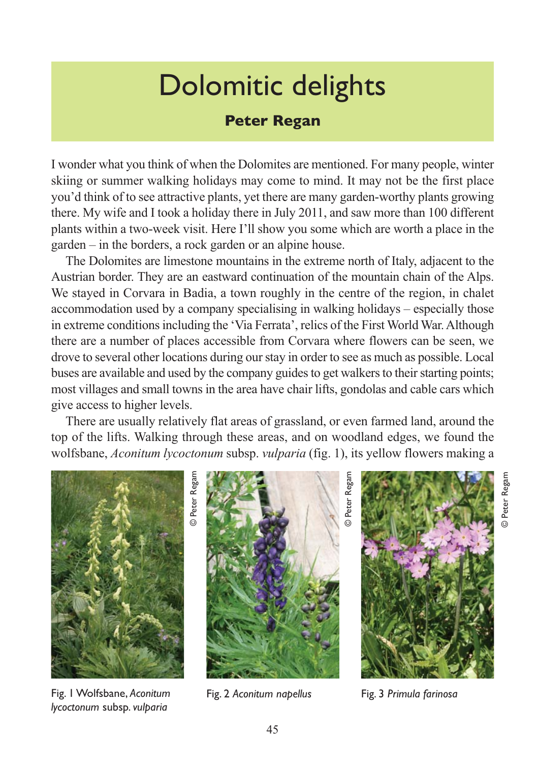## Dolomitic delights

## **Peter Regan**

I wonder what you think of when the Dolomites are mentioned. For many people, winter skiing or summer walking holidays may come to mind. It may not be the first place you'd think of to see attractive plants, yet there are many garden-worthy plants growing there. My wife and I took a holiday there in July 2011, and saw more than 100 different plants within a two-week visit. Here I'll show you some which are worth a place in the garden – in the borders, a rock garden or an alpine house.

The Dolomites are limestone mountains in the extreme north of Italy, adjacent to the Austrian border. They are an eastward continuation of the mountain chain of the Alps. We stayed in Corvara in Badia, a town roughly in the centre of the region, in chalet accommodation used by a company specialising in walking holidays – especially those in extreme conditions including the 'Via Ferrata', relics of the First World War. Although there are a number of places accessible from Corvara where flowers can be seen, we drove to several other locations during our stay in order to see as much as possible. Local buses are available and used by the company guides to get walkers to their starting points; most villages and small towns in the area have chair lifts, gondolas and cable cars which give access to higher levels.

There are usually relatively flat areas of grassland, or even farmed land, around the top of the lifts. Walking through these areas, and on woodland edges, we found the wolfsbane, *Aconitum lycoctonum* subsp. *vulparia* (fig. 1), its yellow flowers making a



Fig. 1 Wolfsbane, *Aconitum* Fig. 2 *Aconitum napellus lycoctonum* subsp. *vulparia*

© Peter Regam

Peter Regam

Fig. 3 *Primula farinosa*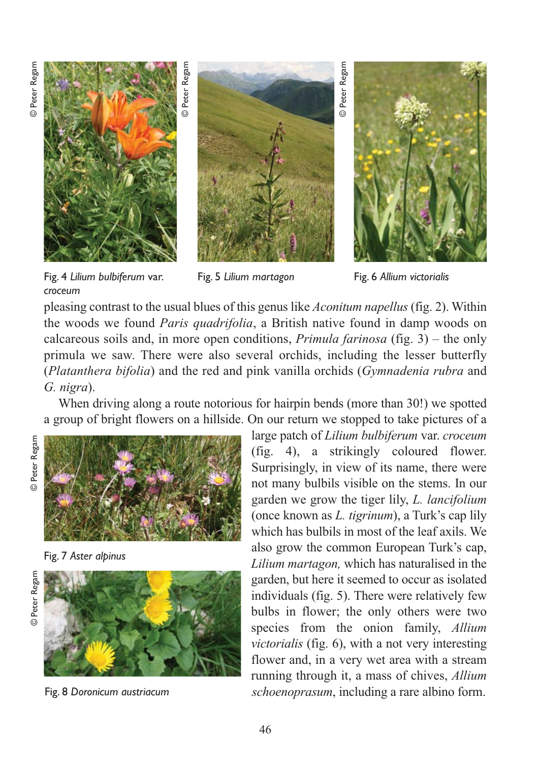© Peter Regam © Peter Regam



Peter Regam © Peter Regam  $\overline{\circ}$ 



Fig. 6 *Allium victorialis*

Fig. 4 *Lilium bulbiferum* var. *croceum*

Fig. 5 *Lilium martagon* 

pleasing contrast to the usual blues of this genus like *Aconitum napellus* (fig. 2). Within the woods we found *Paris quadrifolia*, a British native found in damp woods on calcareous soils and, in more open conditions, *Primula farinosa* (fig. 3) – the only primula we saw. There were also several orchids, including the lesser butterfly (*Platanthera bifolia*) and the red and pink vanilla orchids (*Gymnadenia rubra* and *G. nigra*).

When driving along a route notorious for hairpin bends (more than 30!) we spotted a group of bright flowers on a hillside. On our return we stopped to take pictures of a

© Peter Regam © Peter Regam



Fig. 7 *Aster alpinus*





Fig. 8 *Doronicum austriacum*

large patch of *Lilium bulbiferum* var. *croceum* (fig. 4), a strikingly coloured flower. Surprisingly, in view of its name, there were not many bulbils visible on the stems. In our garden we grow the tiger lily, *L. lancifolium* (once known as *L. tigrinum*), a Turk's cap lily which has bulbils in most of the leaf axils. We also grow the common European Turk's cap, *Lilium martagon,* which has naturalised in the garden, but here it seemed to occur as isolated individuals (fig. 5). There were relatively few bulbs in flower; the only others were two species from the onion family, *Allium victorialis* (fig. 6), with a not very interesting flower and, in a very wet area with a stream running through it, a mass of chives, *Allium schoenoprasum*, including a rare albino form.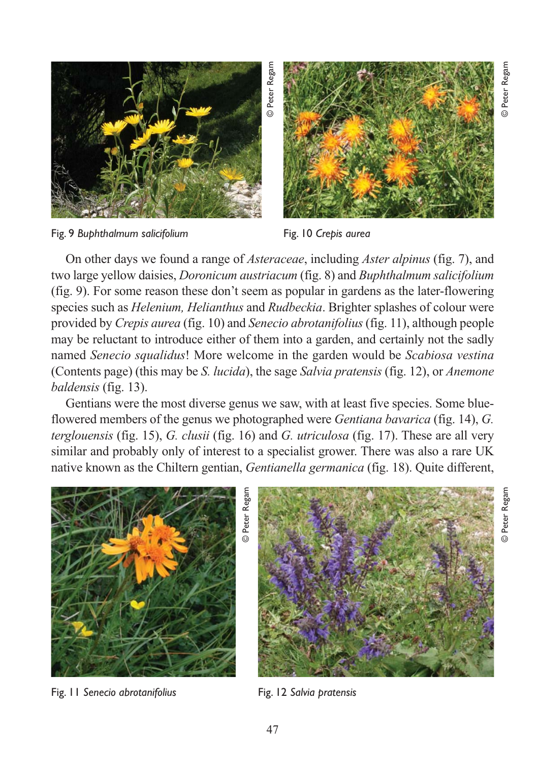

Fig. 9 *Buphthalmum salicifolium*

Fig. 10 *Crepis aurea*

On other days we found a range of *Asteraceae*, including *Aster alpinus* (fig. 7), and two large yellow daisies, *Doronicum austriacum* (fig. 8) and *Buphthalmum salicifolium* (fig. 9). For some reason these don't seem as popular in gardens as the later-flowering species such as *Helenium, Helianthus* and *Rudbeckia*. Brighter splashes of colour were provided by *Crepis aurea* (fig. 10) and *Senecio abrotanifolius*(fig. 11), although people may be reluctant to introduce either of them into a garden, and certainly not the sadly named *Senecio squalidus*! More welcome in the garden would be *Scabiosa vestina* (Contents page) (this may be *S. lucida*), the sage *Salvia pratensis* (fig. 12), or *Anemone baldensis* (fig. 13).

Gentians were the most diverse genus we saw, with at least five species. Some blueflowered members of the genus we photographed were *Gentiana bavarica* (fig. 14), *G. terglouensis* (fig. 15), *G. clusii* (fig. 16) and *G. utriculosa* (fig. 17). These are all very similar and probably only of interest to a specialist grower. There was also a rare UK



Fig. 11 *Senecio abrotanifolius*

Fig. 12 *Salvia pratensis*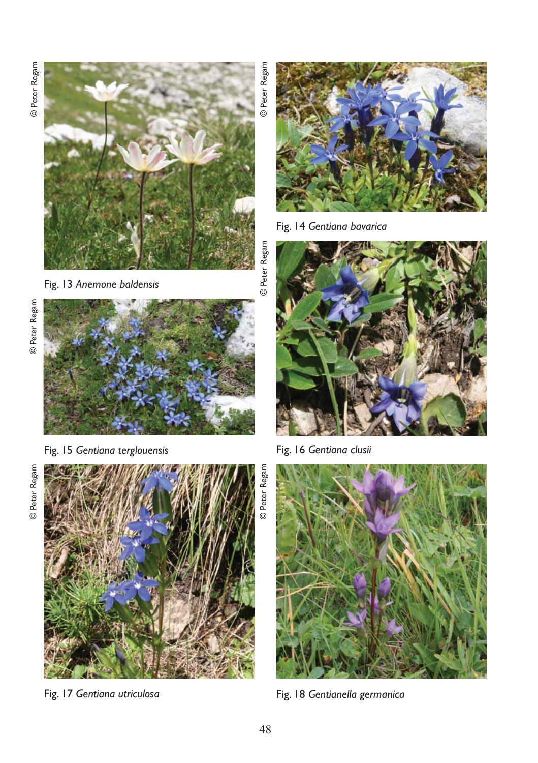© Peter Regam © Peter Regam



Fig. 13 *Anemone baldensis* 



Fig. 15 *Gentiana terglouensis*

© Peter Regam © Peter Regam



Fig. 17 *Gentiana utriculosa*

Fig. 14 *Gentiana bavarica*

© Peter Regam

© Peter Regam

Peter Regam



Fig. 16 *Gentiana clusii*



Fig. 18 *Gentianella germanica*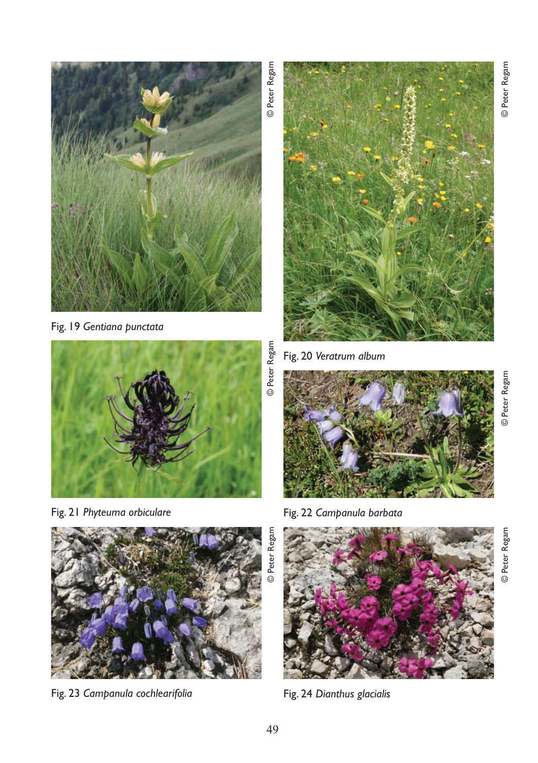

Fig. 19 *Gentiana punctata*



Fig. 21 *Phyteuma orbiculare*



Fig. 23 *Campanula cochlearifolia*

Fig. 20 *Veratrum album*



Fig. 22 *Campanula barbata*



Fig. 24 *Dianthus glacialis*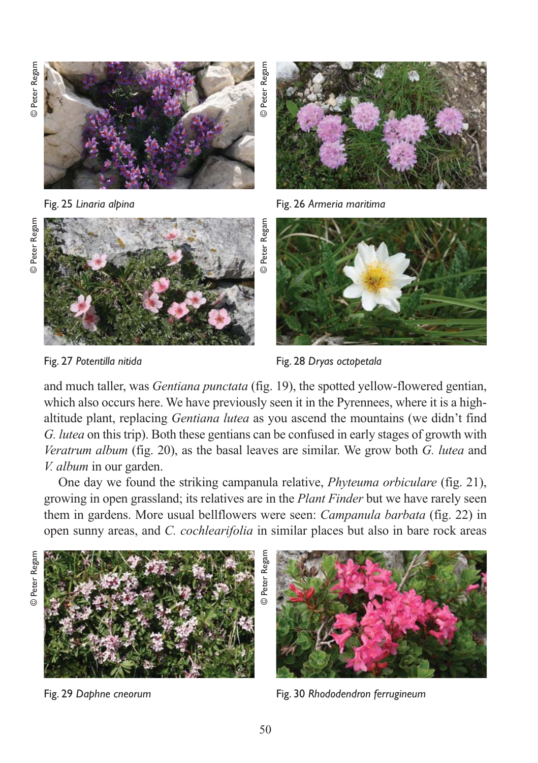© Peter Regam © Peter Regam



Fig. 25 *Linaria alpina*



Fig. 26 *Armeria maritima*





Fig. 27 *Potentilla nitida*



Fig. 28 *Dryas octopetala*

and much taller, was *Gentiana punctata* (fig. 19), the spotted yellow-flowered gentian, which also occurs here. We have previously seen it in the Pyrennees, where it is a highaltitude plant, replacing *Gentiana lutea* as you ascend the mountains (we didn't find *G. lutea* on this trip). Both these gentians can be confused in early stages of growth with *Veratrum album* (fig. 20), as the basal leaves are similar. We grow both *G. lutea* and *V. album* in our garden.

One day we found the striking campanula relative, *Phyteuma orbiculare* (fig. 21), growing in open grassland; its relatives are in the *Plant Finder* but we have rarely seen them in gardens. More usual bellflowers were seen: *Campanula barbata* (fig. 22) in open sunny areas, and *C. cochlearifolia* in similar places but also in bare rock areas



Fig. 29 *Daphne cneorum*



Fig. 30 *Rhododendron ferrugineum*